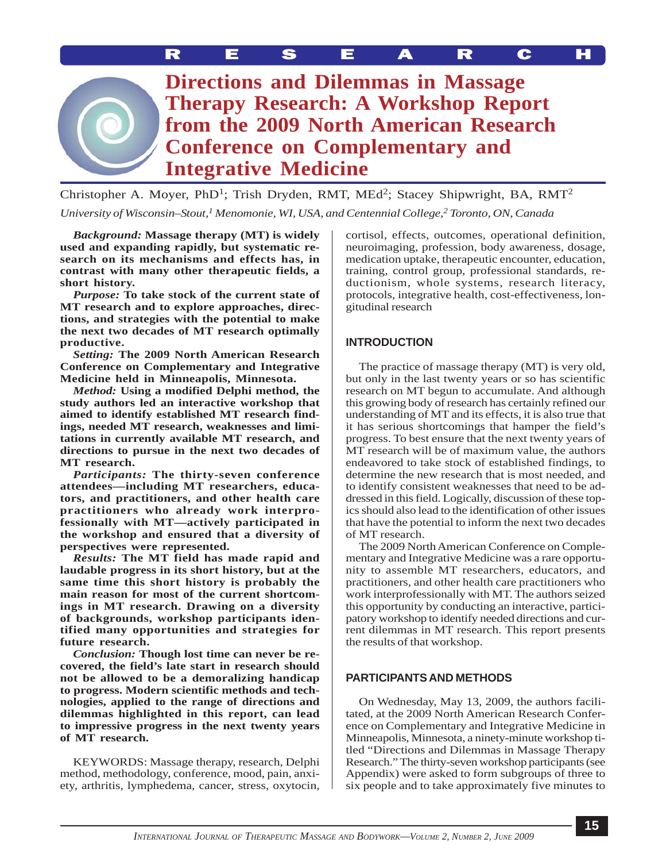MOYER *et al*.: DIRECTIONS AND DILEMMAS RESEARCH

**Directions and Dilemmas in Massage Therapy Research: A Workshop Report from the 2009 North American Research Conference on Complementary and Integrative Medicine**

Christopher A. Moyer, PhD<sup>1</sup>; Trish Dryden, RMT, MEd<sup>2</sup>; Stacey Shipwright, BA, RMT<sup>2</sup> *University of Wisconsin–Stout,1 Menomonie, WI, USA, and Centennial College,2 Toronto, ON, Canada*

*Background:* **Massage therapy (MT) is widely used and expanding rapidly, but systematic research on its mechanisms and effects has, in contrast with many other therapeutic fields, a short history.**

*Purpose:* **To take stock of the current state of MT research and to explore approaches, directions, and strategies with the potential to make the next two decades of MT research optimally productive.**

*Setting:* **The 2009 North American Research Conference on Complementary and Integrative Medicine held in Minneapolis, Minnesota.**

*Method:* **Using a modified Delphi method, the study authors led an interactive workshop that aimed to identify established MT research findings, needed MT research, weaknesses and limitations in currently available MT research, and directions to pursue in the next two decades of MT research.**

*Participants:* **The thirty-seven conference attendees—including MT researchers, educators, and practitioners, and other health care practitioners who already work interprofessionally with MT—actively participated in the workshop and ensured that a diversity of perspectives were represented.**

*Results:* **The MT field has made rapid and laudable progress in its short history, but at the same time this short history is probably the main reason for most of the current shortcomings in MT research. Drawing on a diversity of backgrounds, workshop participants identified many opportunities and strategies for future research.**

*Conclusion:* **Though lost time can never be recovered, the field's late start in research should not be allowed to be a demoralizing handicap to progress. Modern scientific methods and technologies, applied to the range of directions and dilemmas highlighted in this report, can lead to impressive progress in the next twenty years of MT research.**

KEYWORDS: Massage therapy, research, Delphi method, methodology, conference, mood, pain, anxiety, arthritis, lymphedema, cancer, stress, oxytocin,

cortisol, effects, outcomes, operational definition, neuroimaging, profession, body awareness, dosage, medication uptake, therapeutic encounter, education, training, control group, professional standards, reductionism, whole systems, research literacy, protocols, integrative health, cost-effectiveness, longitudinal research

# **INTRODUCTION**

The practice of massage therapy (MT) is very old, but only in the last twenty years or so has scientific research on MT begun to accumulate. And although this growing body of research has certainly refined our understanding of MT and its effects, it is also true that it has serious shortcomings that hamper the field's progress. To best ensure that the next twenty years of MT research will be of maximum value, the authors endeavored to take stock of established findings, to determine the new research that is most needed, and to identify consistent weaknesses that need to be addressed in this field. Logically, discussion of these topics should also lead to the identification of other issues that have the potential to inform the next two decades of MT research.

The 2009 North American Conference on Complementary and Integrative Medicine was a rare opportunity to assemble MT researchers, educators, and practitioners, and other health care practitioners who work interprofessionally with MT. The authors seized this opportunity by conducting an interactive, participatory workshop to identify needed directions and current dilemmas in MT research. This report presents the results of that workshop.

## **PARTICIPANTS AND METHODS**

On Wednesday, May 13, 2009, the authors facilitated, at the 2009 North American Research Conference on Complementary and Integrative Medicine in Minneapolis, Minnesota, a ninety-minute workshop titled "Directions and Dilemmas in Massage Therapy Research." The thirty-seven workshop participants (see Appendix) were asked to form subgroups of three to six people and to take approximately five minutes to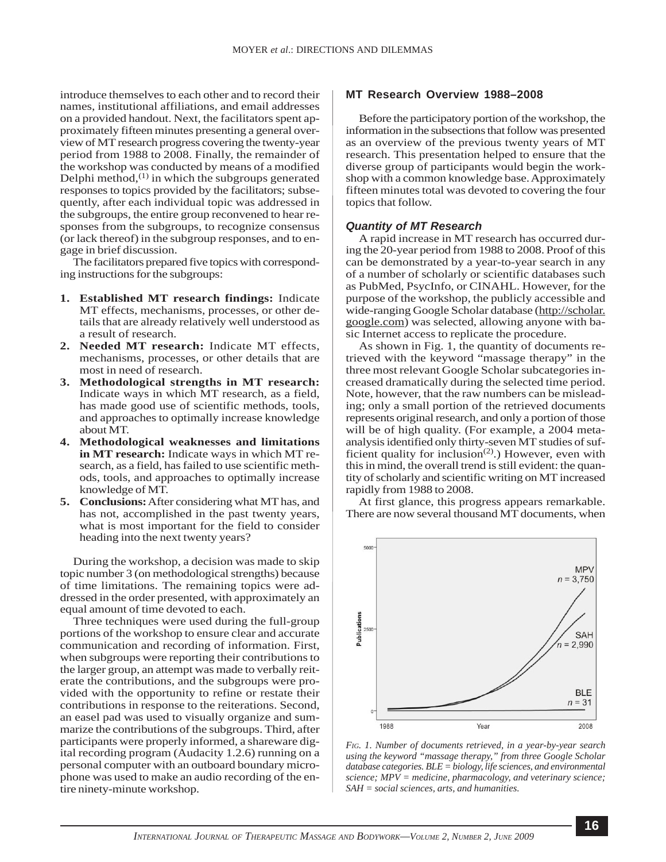introduce themselves to each other and to record their names, institutional affiliations, and email addresses on a provided handout. Next, the facilitators spent approximately fifteen minutes presenting a general overview of MT research progress covering the twenty-year period from 1988 to 2008. Finally, the remainder of the workshop was conducted by means of a modified Delphi method, $(1)$  in which the subgroups generated responses to topics provided by the facilitators; subsequently, after each individual topic was addressed in the subgroups, the entire group reconvened to hear responses from the subgroups, to recognize consensus (or lack thereof) in the subgroup responses, and to engage in brief discussion.

The facilitators prepared five topics with corresponding instructions for the subgroups:

- **1. Established MT research findings:** Indicate MT effects, mechanisms, processes, or other details that are already relatively well understood as a result of research.
- **2. Needed MT research:** Indicate MT effects, mechanisms, processes, or other details that are most in need of research.
- **3. Methodological strengths in MT research:** Indicate ways in which MT research, as a field, has made good use of scientific methods, tools, and approaches to optimally increase knowledge about MT.
- **4. Methodological weaknesses and limitations in MT research:** Indicate ways in which MT research, as a field, has failed to use scientific methods, tools, and approaches to optimally increase knowledge of MT.
- **5. Conclusions:** After considering what MT has, and has not, accomplished in the past twenty years, what is most important for the field to consider heading into the next twenty years?

During the workshop, a decision was made to skip topic number 3 (on methodological strengths) because of time limitations. The remaining topics were addressed in the order presented, with approximately an equal amount of time devoted to each.

Three techniques were used during the full-group portions of the workshop to ensure clear and accurate communication and recording of information. First, when subgroups were reporting their contributions to the larger group, an attempt was made to verbally reiterate the contributions, and the subgroups were provided with the opportunity to refine or restate their contributions in response to the reiterations. Second, an easel pad was used to visually organize and summarize the contributions of the subgroups. Third, after participants were properly informed, a shareware digital recording program (Audacity 1.2.6) running on a personal computer with an outboard boundary microphone was used to make an audio recording of the entire ninety-minute workshop.

#### **MT Research Overview 1988–2008**

Before the participatory portion of the workshop, the information in the subsections that follow was presented as an overview of the previous twenty years of MT research. This presentation helped to ensure that the diverse group of participants would begin the workshop with a common knowledge base. Approximately fifteen minutes total was devoted to covering the four topics that follow.

#### *Quantity of MT Research*

A rapid increase in MT research has occurred during the 20-year period from 1988 to 2008. Proof of this can be demonstrated by a year-to-year search in any of a number of scholarly or scientific databases such as PubMed, PsycInfo, or CINAHL. However, for the purpose of the workshop, the publicly accessible and wide-ranging Google Scholar database ([http://scholar.](http://scholar. google.com) [google.com](http://scholar. google.com)) was selected, allowing anyone with basic Internet access to replicate the procedure.

As shown in Fig. 1, the quantity of documents retrieved with the keyword "massage therapy" in the three most relevant Google Scholar subcategories increased dramatically during the selected time period. Note, however, that the raw numbers can be misleading; only a small portion of the retrieved documents represents original research, and only a portion of those will be of high quality. (For example, a 2004 metaanalysis identified only thirty-seven MT studies of sufficient quality for inclusion<sup> $(2)$ </sup>.) However, even with this in mind, the overall trend is still evident: the quantity of scholarly and scientific writing on MT increased rapidly from 1988 to 2008.

At first glance, this progress appears remarkable. There are now several thousand MT documents, when



*FIG. 1. Number of documents retrieved, in a year-by-year search using the keyword "massage therapy," from three Google Scholar database categories. BLE = biology, life sciences, and environmental science; MPV = medicine, pharmacology, and veterinary science; SAH = social sciences, arts, and humanities.*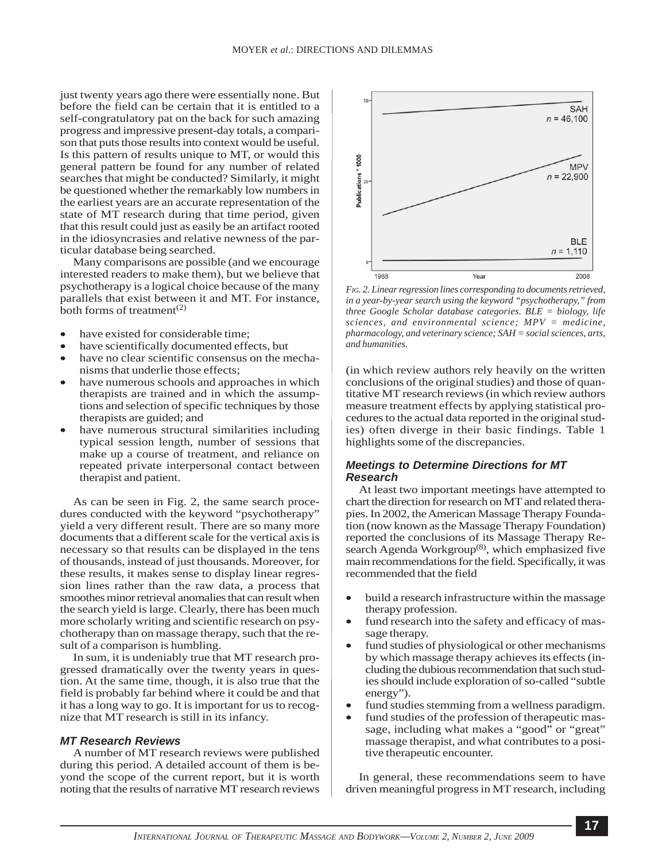just twenty years ago there were essentially none. But before the field can be certain that it is entitled to a self-congratulatory pat on the back for such amazing progress and impressive present-day totals, a comparison that puts those results into context would be useful. Is this pattern of results unique to MT, or would this general pattern be found for any number of related searches that might be conducted? Similarly, it might be questioned whether the remarkably low numbers in the earliest years are an accurate representation of the state of MT research during that time period, given that this result could just as easily be an artifact rooted in the idiosyncrasies and relative newness of the particular database being searched.

Many comparisons are possible (and we encourage interested readers to make them), but we believe that psychotherapy is a logical choice because of the many parallels that exist between it and MT. For instance, both forms of treatment<sup> $(2)$ </sup>

- have existed for considerable time;
- have scientifically documented effects, but
- have no clear scientific consensus on the mechanisms that underlie those effects;
- have numerous schools and approaches in which therapists are trained and in which the assumptions and selection of specific techniques by those therapists are guided; and
- have numerous structural similarities including typical session length, number of sessions that make up a course of treatment, and reliance on repeated private interpersonal contact between therapist and patient.

As can be seen in Fig. 2, the same search procedures conducted with the keyword "psychotherapy" yield a very different result. There are so many more documents that a different scale for the vertical axis is necessary so that results can be displayed in the tens of thousands, instead of just thousands. Moreover, for these results, it makes sense to display linear regression lines rather than the raw data, a process that smoothes minor retrieval anomalies that can result when the search yield is large. Clearly, there has been much more scholarly writing and scientific research on psychotherapy than on massage therapy, such that the result of a comparison is humbling.

In sum, it is undeniably true that MT research progressed dramatically over the twenty years in question. At the same time, though, it is also true that the field is probably far behind where it could be and that it has a long way to go. It is important for us to recognize that MT research is still in its infancy.

#### *MT Research Reviews*

A number of MT research reviews were published during this period. A detailed account of them is beyond the scope of the current report, but it is worth noting that the results of narrative MT research reviews



*FIG. 2. Linear regression lines corresponding to documents retrieved, in a year-by-year search using the keyword "psychotherapy," from three Google Scholar database categories. BLE = biology, life sciences, and environmental science; MPV = medicine, pharmacology, and veterinary science; SAH = social sciences, arts, and humanities.*

(in which review authors rely heavily on the written conclusions of the original studies) and those of quantitative MT research reviews (in which review authors measure treatment effects by applying statistical procedures to the actual data reported in the original studies) often diverge in their basic findings. Table 1 highlights some of the discrepancies.

### *Meetings to Determine Directions for MT Research*

At least two important meetings have attempted to chart the direction for research on MT and related therapies. In 2002, the American Massage Therapy Foundation (now known as the Massage Therapy Foundation) reported the conclusions of its Massage Therapy Research Agenda Workgroup<sup>(8)</sup>, which emphasized five main recommendations for the field. Specifically, it was recommended that the field

- build a research infrastructure within the massage therapy profession.
- fund research into the safety and efficacy of massage therapy.
- fund studies of physiological or other mechanisms by which massage therapy achieves its effects (including the dubious recommendation that such studies should include exploration of so-called "subtle energy").
- fund studies stemming from a wellness paradigm.
- fund studies of the profession of therapeutic massage, including what makes a "good" or "great" massage therapist, and what contributes to a positive therapeutic encounter.

In general, these recommendations seem to have driven meaningful progress in MT research, including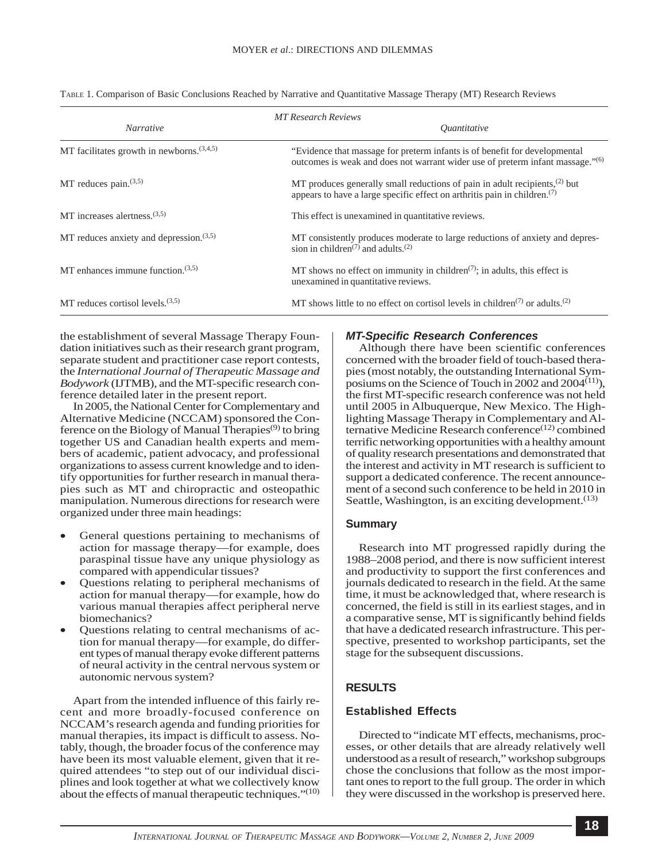| <b>MT Research Reviews</b>                   |                                                                                                                                                                          |
|----------------------------------------------|--------------------------------------------------------------------------------------------------------------------------------------------------------------------------|
| <b>Narrative</b>                             | <i><u>Ouantitative</u></i>                                                                                                                                               |
| MT facilitates growth in newborns. $(3,4,5)$ | "Evidence that massage for preterm infants is of benefit for developmental<br>outcomes is weak and does not warrant wider use of preterm infant massage." <sup>(6)</sup> |
| MT reduces pain. $(3,5)$                     | MT produces generally small reductions of pain in adult recipients, $(2)$ but<br>appears to have a large specific effect on arthritis pain in children. $(7)$            |
| MT increases alertness. $(3,5)$              | This effect is unexamined in quantitative reviews.                                                                                                                       |
| MT reduces anxiety and depression. $(3,5)$   | MT consistently produces moderate to large reductions of anxiety and depres-<br>sion in children <sup><math>(7)</math></sup> and adults. <sup><math>(2)</math></sup>     |
| MT enhances immune function. $(3,5)$         | MT shows no effect on immunity in children <sup><math>(7)</math></sup> ; in adults, this effect is<br>unexamined in quantitative reviews.                                |
| MT reduces cortisol levels. $(3,5)$          | MT shows little to no effect on cortisol levels in children <sup><math>(7)</math></sup> or adults. <sup>(2)</sup>                                                        |

TABLE 1. Comparison of Basic Conclusions Reached by Narrative and Quantitative Massage Therapy (MT) Research Reviews

the establishment of several Massage Therapy Foundation initiatives such as their research grant program, separate student and practitioner case report contests, the *International Journal of Therapeutic Massage and Bodywork* (IJTMB), and the MT-specific research conference detailed later in the present report.

In 2005, the National Center for Complementary and Alternative Medicine (NCCAM) sponsored the Conference on the Biology of Manual Therapies<sup> $(9)$ </sup> to bring together US and Canadian health experts and members of academic, patient advocacy, and professional organizations to assess current knowledge and to identify opportunities for further research in manual therapies such as MT and chiropractic and osteopathic manipulation. Numerous directions for research were organized under three main headings:

- General questions pertaining to mechanisms of action for massage therapy—for example, does paraspinal tissue have any unique physiology as compared with appendicular tissues?
- Questions relating to peripheral mechanisms of action for manual therapy—for example, how do various manual therapies affect peripheral nerve biomechanics?
- Questions relating to central mechanisms of action for manual therapy—for example, do different types of manual therapy evoke different patterns of neural activity in the central nervous system or autonomic nervous system?

Apart from the intended influence of this fairly recent and more broadly-focused conference on NCCAM's research agenda and funding priorities for manual therapies, its impact is difficult to assess. Notably, though, the broader focus of the conference may have been its most valuable element, given that it required attendees "to step out of our individual disciplines and look together at what we collectively know about the effects of manual therapeutic techniques."<sup>(10)</sup>

## *MT-Specific Research Conferences*

Although there have been scientific conferences concerned with the broader field of touch-based therapies (most notably, the outstanding International Symposiums on the Science of Touch in 2002 and 2004 $(11)$ ), the first MT-specific research conference was not held until 2005 in Albuquerque, New Mexico. The Highlighting Massage Therapy in Complementary and Alternative Medicine Research conference<sup>(12)</sup> combined terrific networking opportunities with a healthy amount of quality research presentations and demonstrated that the interest and activity in MT research is sufficient to support a dedicated conference. The recent announcement of a second such conference to be held in 2010 in Seattle, Washington, is an exciting development.<sup>(13)</sup>

## **Summary**

Research into MT progressed rapidly during the 1988–2008 period, and there is now sufficient interest and productivity to support the first conferences and journals dedicated to research in the field. At the same time, it must be acknowledged that, where research is concerned, the field is still in its earliest stages, and in a comparative sense, MT is significantly behind fields that have a dedicated research infrastructure. This perspective, presented to workshop participants, set the stage for the subsequent discussions.

## **RESULTS**

## **Established Effects**

Directed to "indicate MT effects, mechanisms, processes, or other details that are already relatively well understood as a result of research," workshop subgroups chose the conclusions that follow as the most important ones to report to the full group. The order in which they were discussed in the workshop is preserved here.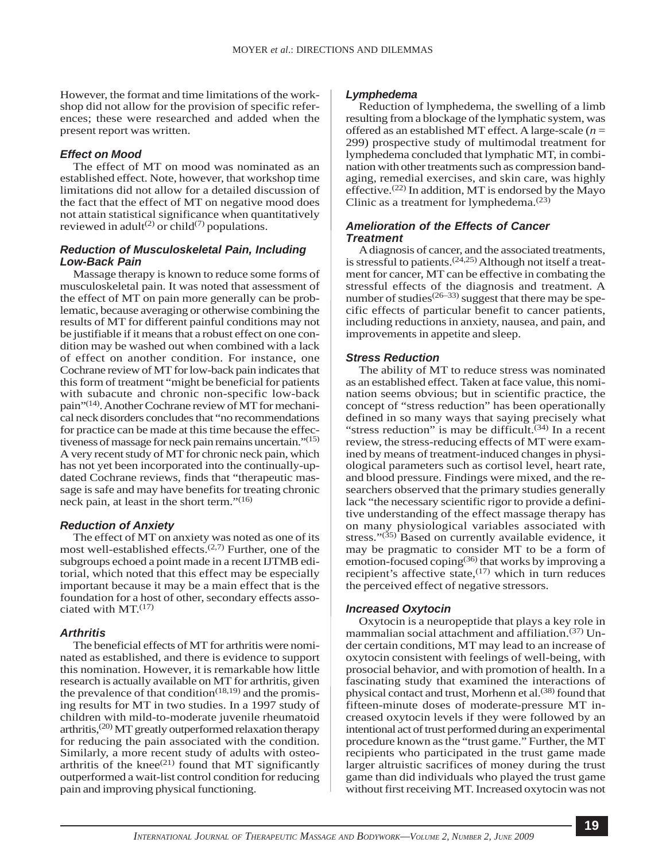However, the format and time limitations of the workshop did not allow for the provision of specific references; these were researched and added when the present report was written.

### *Effect on Mood*

The effect of MT on mood was nominated as an established effect. Note, however, that workshop time limitations did not allow for a detailed discussion of the fact that the effect of MT on negative mood does not attain statistical significance when quantitatively reviewed in adult<sup>(2)</sup> or child<sup>(7)</sup> populations.

## *Reduction of Musculoskeletal Pain, Including Low-Back Pain*

Massage therapy is known to reduce some forms of musculoskeletal pain. It was noted that assessment of the effect of MT on pain more generally can be problematic, because averaging or otherwise combining the results of MT for different painful conditions may not be justifiable if it means that a robust effect on one condition may be washed out when combined with a lack of effect on another condition. For instance, one Cochrane review of MT for low-back pain indicates that this form of treatment "might be beneficial for patients with subacute and chronic non-specific low-back pain"(14). Another Cochrane review of MT for mechanical neck disorders concludes that "no recommendations for practice can be made at this time because the effectiveness of massage for neck pain remains uncertain."(15) A very recent study of MT for chronic neck pain, which has not yet been incorporated into the continually-updated Cochrane reviews, finds that "therapeutic massage is safe and may have benefits for treating chronic neck pain, at least in the short term."<sup>(16)</sup>

#### *Reduction of Anxiety*

The effect of MT on anxiety was noted as one of its most well-established effects. $(2,7)$  Further, one of the subgroups echoed a point made in a recent IJTMB editorial, which noted that this effect may be especially important because it may be a main effect that is the foundation for a host of other, secondary effects associated with  $MT<sup>(17)</sup>$ 

#### *Arthritis*

The beneficial effects of MT for arthritis were nominated as established, and there is evidence to support this nomination. However, it is remarkable how little research is actually available on MT for arthritis, given the prevalence of that condition<sup> $(18,19)$ </sup> and the promising results for MT in two studies. In a 1997 study of children with mild-to-moderate juvenile rheumatoid arthritis, $(20)$  MT greatly outperformed relaxation therapy for reducing the pain associated with the condition. Similarly, a more recent study of adults with osteoarthritis of the knee $^{(21)}$  found that MT significantly outperformed a wait-list control condition for reducing pain and improving physical functioning.

#### *Lymphedema*

Reduction of lymphedema, the swelling of a limb resulting from a blockage of the lymphatic system, was offered as an established MT effect. A large-scale (*n* = 299) prospective study of multimodal treatment for lymphedema concluded that lymphatic MT, in combination with other treatments such as compression bandaging, remedial exercises, and skin care, was highly effective.<sup>(22)</sup> In addition, MT is endorsed by the Mayo Clinic as a treatment for lymphedema. $(23)$ 

### *Amelioration of the Effects of Cancer Treatment*

A diagnosis of cancer, and the associated treatments, is stressful to patients. $(24,25)$  Although not itself a treatment for cancer, MT can be effective in combating the stressful effects of the diagnosis and treatment. A number of studies<sup> $(26-33)$ </sup> suggest that there may be specific effects of particular benefit to cancer patients, including reductions in anxiety, nausea, and pain, and improvements in appetite and sleep.

#### *Stress Reduction*

The ability of MT to reduce stress was nominated as an established effect. Taken at face value, this nomination seems obvious; but in scientific practice, the concept of "stress reduction" has been operationally defined in so many ways that saying precisely what "stress reduction" is may be difficult.<sup> $(34)$ </sup> In a recent review, the stress-reducing effects of MT were examined by means of treatment-induced changes in physiological parameters such as cortisol level, heart rate, and blood pressure. Findings were mixed, and the researchers observed that the primary studies generally lack "the necessary scientific rigor to provide a definitive understanding of the effect massage therapy has on many physiological variables associated with stress." $(35)$  Based on currently available evidence, it may be pragmatic to consider MT to be a form of emotion-focused coping<sup>(36)</sup> that works by improving a recipient's affective state, $(17)$  which in turn reduces the perceived effect of negative stressors.

#### *Increased Oxytocin*

Oxytocin is a neuropeptide that plays a key role in mammalian social attachment and affiliation.(37) Under certain conditions, MT may lead to an increase of oxytocin consistent with feelings of well-being, with prosocial behavior, and with promotion of health. In a fascinating study that examined the interactions of physical contact and trust, Morhenn et al.<sup>(38)</sup> found that fifteen-minute doses of moderate-pressure MT increased oxytocin levels if they were followed by an intentional act of trust performed during an experimental procedure known as the "trust game." Further, the MT recipients who participated in the trust game made larger altruistic sacrifices of money during the trust game than did individuals who played the trust game without first receiving MT. Increased oxytocin was not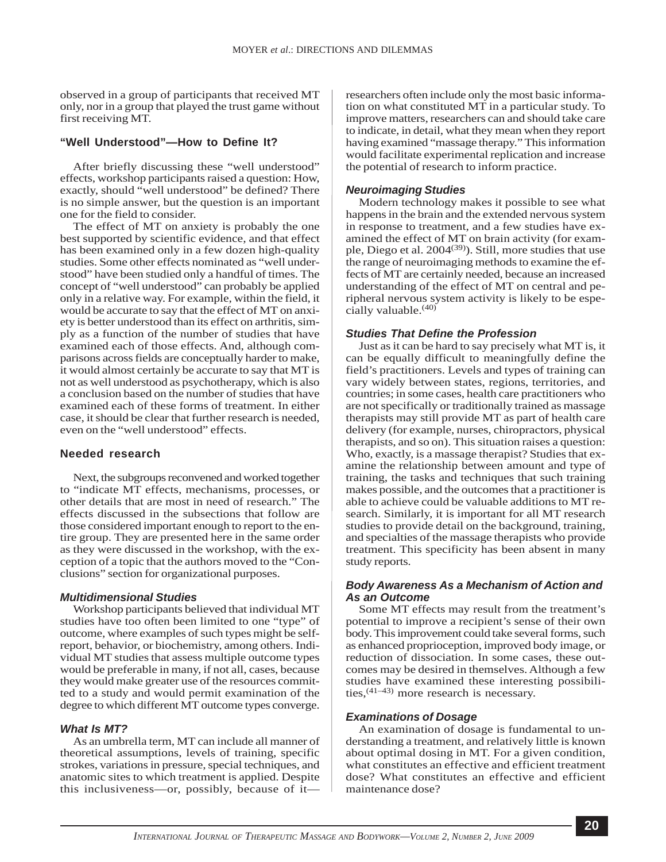observed in a group of participants that received MT only, nor in a group that played the trust game without first receiving MT.

## **"Well Understood"—How to Define It?**

After briefly discussing these "well understood" effects, workshop participants raised a question: How, exactly, should "well understood" be defined? There is no simple answer, but the question is an important one for the field to consider.

The effect of MT on anxiety is probably the one best supported by scientific evidence, and that effect has been examined only in a few dozen high-quality studies. Some other effects nominated as "well understood" have been studied only a handful of times. The concept of "well understood" can probably be applied only in a relative way. For example, within the field, it would be accurate to say that the effect of MT on anxiety is better understood than its effect on arthritis, simply as a function of the number of studies that have examined each of those effects. And, although comparisons across fields are conceptually harder to make, it would almost certainly be accurate to say that MT is not as well understood as psychotherapy, which is also a conclusion based on the number of studies that have examined each of these forms of treatment. In either case, it should be clear that further research is needed, even on the "well understood" effects.

#### **Needed research**

Next, the subgroups reconvened and worked together to "indicate MT effects, mechanisms, processes, or other details that are most in need of research." The effects discussed in the subsections that follow are those considered important enough to report to the entire group. They are presented here in the same order as they were discussed in the workshop, with the exception of a topic that the authors moved to the "Conclusions" section for organizational purposes.

#### *Multidimensional Studies*

Workshop participants believed that individual MT studies have too often been limited to one "type" of outcome, where examples of such types might be selfreport, behavior, or biochemistry, among others. Individual MT studies that assess multiple outcome types would be preferable in many, if not all, cases, because they would make greater use of the resources committed to a study and would permit examination of the degree to which different MT outcome types converge.

#### *What Is MT?*

As an umbrella term, MT can include all manner of theoretical assumptions, levels of training, specific strokes, variations in pressure, special techniques, and anatomic sites to which treatment is applied. Despite this inclusiveness—or, possibly, because of itresearchers often include only the most basic information on what constituted MT in a particular study. To improve matters, researchers can and should take care to indicate, in detail, what they mean when they report having examined "massage therapy." This information would facilitate experimental replication and increase the potential of research to inform practice.

#### *Neuroimaging Studies*

Modern technology makes it possible to see what happens in the brain and the extended nervous system in response to treatment, and a few studies have examined the effect of MT on brain activity (for example, Diego et al. 2004<sup>(39)</sup>). Still, more studies that use the range of neuroimaging methods to examine the effects of MT are certainly needed, because an increased understanding of the effect of MT on central and peripheral nervous system activity is likely to be especially valuable.<sup>(40)</sup>

### *Studies That Define the Profession*

Just as it can be hard to say precisely what MT is, it can be equally difficult to meaningfully define the field's practitioners. Levels and types of training can vary widely between states, regions, territories, and countries; in some cases, health care practitioners who are not specifically or traditionally trained as massage therapists may still provide MT as part of health care delivery (for example, nurses, chiropractors, physical therapists, and so on). This situation raises a question: Who, exactly, is a massage therapist? Studies that examine the relationship between amount and type of training, the tasks and techniques that such training makes possible, and the outcomes that a practitioner is able to achieve could be valuable additions to MT research. Similarly, it is important for all MT research studies to provide detail on the background, training, and specialties of the massage therapists who provide treatment. This specificity has been absent in many study reports.

### *Body Awareness As a Mechanism of Action and As an Outcome*

Some MT effects may result from the treatment's potential to improve a recipient's sense of their own body. This improvement could take several forms, such as enhanced proprioception, improved body image, or reduction of dissociation. In some cases, these outcomes may be desired in themselves. Although a few studies have examined these interesting possibilities,(41–43) more research is necessary.

#### *Examinations of Dosage*

An examination of dosage is fundamental to understanding a treatment, and relatively little is known about optimal dosing in MT. For a given condition, what constitutes an effective and efficient treatment dose? What constitutes an effective and efficient maintenance dose?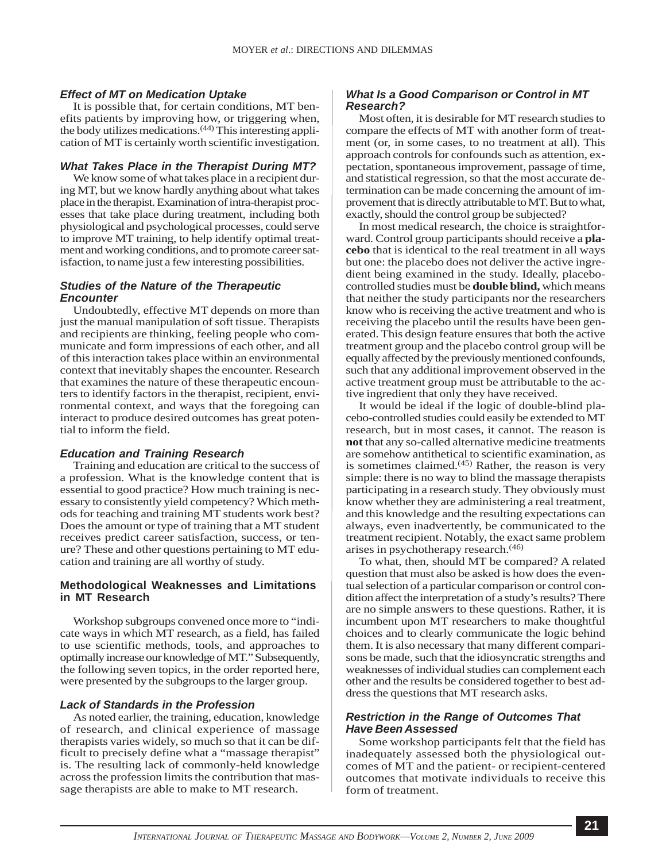### *Effect of MT on Medication Uptake*

It is possible that, for certain conditions, MT benefits patients by improving how, or triggering when, the body utilizes medications.(44) This interesting application of MT is certainly worth scientific investigation.

#### *What Takes Place in the Therapist During MT?*

We know some of what takes place in a recipient during MT, but we know hardly anything about what takes place in the therapist. Examination of intra-therapist processes that take place during treatment, including both physiological and psychological processes, could serve to improve MT training, to help identify optimal treatment and working conditions, and to promote career satisfaction, to name just a few interesting possibilities.

### *Studies of the Nature of the Therapeutic Encounter*

Undoubtedly, effective MT depends on more than just the manual manipulation of soft tissue. Therapists and recipients are thinking, feeling people who communicate and form impressions of each other, and all of this interaction takes place within an environmental context that inevitably shapes the encounter. Research that examines the nature of these therapeutic encounters to identify factors in the therapist, recipient, environmental context, and ways that the foregoing can interact to produce desired outcomes has great potential to inform the field.

#### *Education and Training Research*

Training and education are critical to the success of a profession. What is the knowledge content that is essential to good practice? How much training is necessary to consistently yield competency? Which methods for teaching and training MT students work best? Does the amount or type of training that a MT student receives predict career satisfaction, success, or tenure? These and other questions pertaining to MT education and training are all worthy of study.

#### **Methodological Weaknesses and Limitations in MT Research**

Workshop subgroups convened once more to "indicate ways in which MT research, as a field, has failed to use scientific methods, tools, and approaches to optimally increase our knowledge of MT." Subsequently, the following seven topics, in the order reported here, were presented by the subgroups to the larger group.

#### *Lack of Standards in the Profession*

As noted earlier, the training, education, knowledge of research, and clinical experience of massage therapists varies widely, so much so that it can be difficult to precisely define what a "massage therapist" is. The resulting lack of commonly-held knowledge across the profession limits the contribution that massage therapists are able to make to MT research.

## *What Is a Good Comparison or Control in MT Research?*

Most often, it is desirable for MT research studies to compare the effects of MT with another form of treatment (or, in some cases, to no treatment at all). This approach controls for confounds such as attention, expectation, spontaneous improvement, passage of time, and statistical regression, so that the most accurate determination can be made concerning the amount of improvement that is directly attributable to MT. But to what, exactly, should the control group be subjected?

In most medical research, the choice is straightforward. Control group participants should receive a **placebo** that is identical to the real treatment in all ways but one: the placebo does not deliver the active ingredient being examined in the study. Ideally, placebocontrolled studies must be **double blind,** which means that neither the study participants nor the researchers know who is receiving the active treatment and who is receiving the placebo until the results have been generated. This design feature ensures that both the active treatment group and the placebo control group will be equally affected by the previously mentioned confounds, such that any additional improvement observed in the active treatment group must be attributable to the active ingredient that only they have received.

It would be ideal if the logic of double-blind placebo-controlled studies could easily be extended to MT research, but in most cases, it cannot. The reason is **not** that any so-called alternative medicine treatments are somehow antithetical to scientific examination, as is sometimes claimed. $(45)$  Rather, the reason is very simple: there is no way to blind the massage therapists participating in a research study. They obviously must know whether they are administering a real treatment, and this knowledge and the resulting expectations can always, even inadvertently, be communicated to the treatment recipient. Notably, the exact same problem arises in psychotherapy research.(46)

To what, then, should MT be compared? A related question that must also be asked is how does the eventual selection of a particular comparison or control condition affect the interpretation of a study's results? There are no simple answers to these questions. Rather, it is incumbent upon MT researchers to make thoughtful choices and to clearly communicate the logic behind them. It is also necessary that many different comparisons be made, such that the idiosyncratic strengths and weaknesses of individual studies can complement each other and the results be considered together to best address the questions that MT research asks.

### *Restriction in the Range of Outcomes That Have Been Assessed*

Some workshop participants felt that the field has inadequately assessed both the physiological outcomes of MT and the patient- or recipient-centered outcomes that motivate individuals to receive this form of treatment.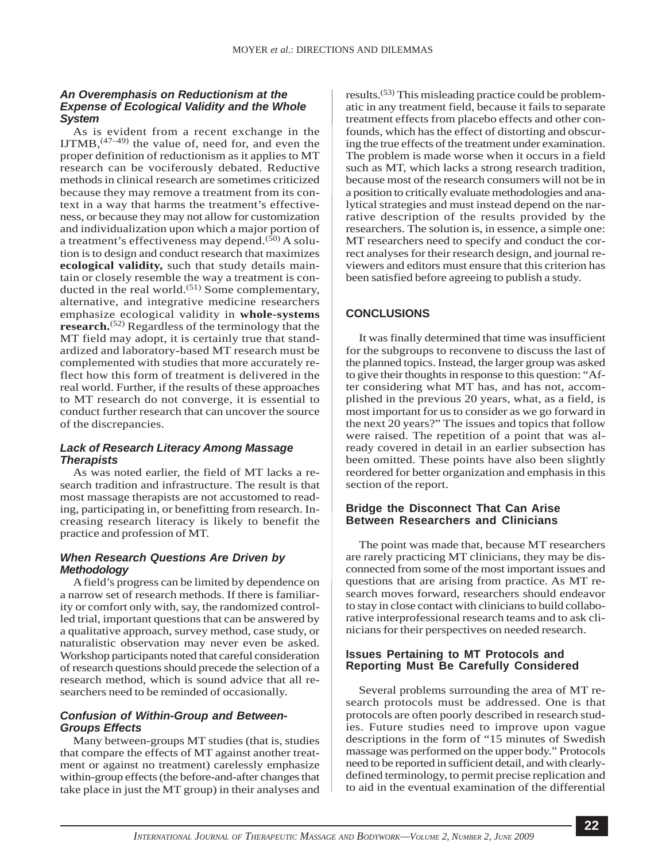## *An Overemphasis on Reductionism at the Expense of Ecological Validity and the Whole System*

As is evident from a recent exchange in the IJTMB,  $(47-49)$  the value of, need for, and even the proper definition of reductionism as it applies to MT research can be vociferously debated. Reductive methods in clinical research are sometimes criticized because they may remove a treatment from its context in a way that harms the treatment's effectiveness, or because they may not allow for customization and individualization upon which a major portion of a treatment's effectiveness may depend. $(50)$  A solution is to design and conduct research that maximizes **ecological validity,** such that study details maintain or closely resemble the way a treatment is conducted in the real world. $(51)$  Some complementary, alternative, and integrative medicine researchers emphasize ecological validity in **whole-systems research.**(52) Regardless of the terminology that the MT field may adopt, it is certainly true that standardized and laboratory-based MT research must be complemented with studies that more accurately reflect how this form of treatment is delivered in the real world. Further, if the results of these approaches to MT research do not converge, it is essential to conduct further research that can uncover the source of the discrepancies.

## *Lack of Research Literacy Among Massage Therapists*

As was noted earlier, the field of MT lacks a research tradition and infrastructure. The result is that most massage therapists are not accustomed to reading, participating in, or benefitting from research. Increasing research literacy is likely to benefit the practice and profession of MT.

# *When Research Questions Are Driven by Methodology*

A field's progress can be limited by dependence on a narrow set of research methods. If there is familiarity or comfort only with, say, the randomized controlled trial, important questions that can be answered by a qualitative approach, survey method, case study, or naturalistic observation may never even be asked. Workshop participants noted that careful consideration of research questions should precede the selection of a research method, which is sound advice that all researchers need to be reminded of occasionally.

# *Confusion of Within-Group and Between-Groups Effects*

Many between-groups MT studies (that is, studies that compare the effects of MT against another treatment or against no treatment) carelessly emphasize within-group effects (the before-and-after changes that take place in just the MT group) in their analyses and

results.(53) This misleading practice could be problematic in any treatment field, because it fails to separate treatment effects from placebo effects and other confounds, which has the effect of distorting and obscuring the true effects of the treatment under examination. The problem is made worse when it occurs in a field such as MT, which lacks a strong research tradition, because most of the research consumers will not be in a position to critically evaluate methodologies and analytical strategies and must instead depend on the narrative description of the results provided by the researchers. The solution is, in essence, a simple one: MT researchers need to specify and conduct the correct analyses for their research design, and journal reviewers and editors must ensure that this criterion has been satisfied before agreeing to publish a study.

# **CONCLUSIONS**

It was finally determined that time was insufficient for the subgroups to reconvene to discuss the last of the planned topics. Instead, the larger group was asked to give their thoughts in response to this question: "After considering what MT has, and has not, accomplished in the previous 20 years, what, as a field, is most important for us to consider as we go forward in the next 20 years?" The issues and topics that follow were raised. The repetition of a point that was already covered in detail in an earlier subsection has been omitted. These points have also been slightly reordered for better organization and emphasis in this section of the report.

## **Bridge the Disconnect That Can Arise Between Researchers and Clinicians**

The point was made that, because MT researchers are rarely practicing MT clinicians, they may be disconnected from some of the most important issues and questions that are arising from practice. As MT research moves forward, researchers should endeavor to stay in close contact with clinicians to build collaborative interprofessional research teams and to ask clinicians for their perspectives on needed research.

## **Issues Pertaining to MT Protocols and Reporting Must Be Carefully Considered**

Several problems surrounding the area of MT research protocols must be addressed. One is that protocols are often poorly described in research studies. Future studies need to improve upon vague descriptions in the form of "15 minutes of Swedish massage was performed on the upper body." Protocols need to be reported in sufficient detail, and with clearlydefined terminology, to permit precise replication and to aid in the eventual examination of the differential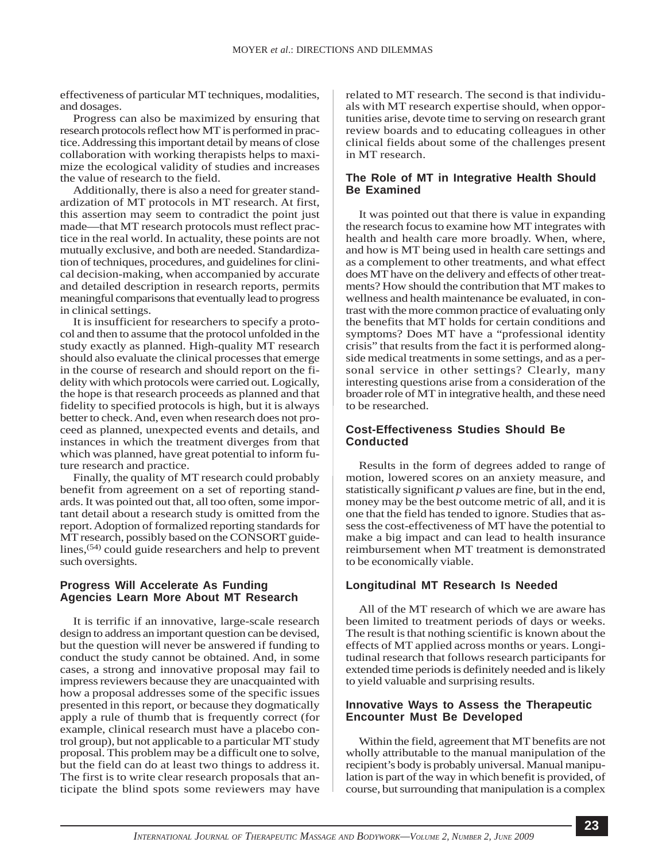effectiveness of particular MT techniques, modalities, and dosages.

Progress can also be maximized by ensuring that research protocols reflect how MT is performed in practice. Addressing this important detail by means of close collaboration with working therapists helps to maximize the ecological validity of studies and increases the value of research to the field.

Additionally, there is also a need for greater standardization of MT protocols in MT research. At first, this assertion may seem to contradict the point just made—that MT research protocols must reflect practice in the real world. In actuality, these points are not mutually exclusive, and both are needed. Standardization of techniques, procedures, and guidelines for clinical decision-making, when accompanied by accurate and detailed description in research reports, permits meaningful comparisons that eventually lead to progress in clinical settings.

It is insufficient for researchers to specify a protocol and then to assume that the protocol unfolded in the study exactly as planned. High-quality MT research should also evaluate the clinical processes that emerge in the course of research and should report on the fidelity with which protocols were carried out. Logically, the hope is that research proceeds as planned and that fidelity to specified protocols is high, but it is always better to check. And, even when research does not proceed as planned, unexpected events and details, and instances in which the treatment diverges from that which was planned, have great potential to inform future research and practice.

Finally, the quality of MT research could probably benefit from agreement on a set of reporting standards. It was pointed out that, all too often, some important detail about a research study is omitted from the report. Adoption of formalized reporting standards for MT research, possibly based on the CONSORT guidelines,<sup>(54)</sup> could guide researchers and help to prevent such oversights.

## **Progress Will Accelerate As Funding Agencies Learn More About MT Research**

It is terrific if an innovative, large-scale research design to address an important question can be devised, but the question will never be answered if funding to conduct the study cannot be obtained. And, in some cases, a strong and innovative proposal may fail to impress reviewers because they are unacquainted with how a proposal addresses some of the specific issues presented in this report, or because they dogmatically apply a rule of thumb that is frequently correct (for example, clinical research must have a placebo control group), but not applicable to a particular MT study proposal. This problem may be a difficult one to solve, but the field can do at least two things to address it. The first is to write clear research proposals that anticipate the blind spots some reviewers may have

related to MT research. The second is that individuals with MT research expertise should, when opportunities arise, devote time to serving on research grant review boards and to educating colleagues in other clinical fields about some of the challenges present in MT research.

## **The Role of MT in Integrative Health Should Be Examined**

It was pointed out that there is value in expanding the research focus to examine how MT integrates with health and health care more broadly. When, where, and how is MT being used in health care settings and as a complement to other treatments, and what effect does MT have on the delivery and effects of other treatments? How should the contribution that MT makes to wellness and health maintenance be evaluated, in contrast with the more common practice of evaluating only the benefits that MT holds for certain conditions and symptoms? Does MT have a "professional identity crisis" that results from the fact it is performed alongside medical treatments in some settings, and as a personal service in other settings? Clearly, many interesting questions arise from a consideration of the broader role of MT in integrative health, and these need to be researched.

## **Cost-Effectiveness Studies Should Be Conducted**

Results in the form of degrees added to range of motion, lowered scores on an anxiety measure, and statistically significant *p* values are fine, but in the end, money may be the best outcome metric of all, and it is one that the field has tended to ignore. Studies that assess the cost-effectiveness of MT have the potential to make a big impact and can lead to health insurance reimbursement when MT treatment is demonstrated to be economically viable.

### **Longitudinal MT Research Is Needed**

All of the MT research of which we are aware has been limited to treatment periods of days or weeks. The result is that nothing scientific is known about the effects of MT applied across months or years. Longitudinal research that follows research participants for extended time periods is definitely needed and is likely to yield valuable and surprising results.

## **Innovative Ways to Assess the Therapeutic Encounter Must Be Developed**

Within the field, agreement that MT benefits are not wholly attributable to the manual manipulation of the recipient's body is probably universal. Manual manipulation is part of the way in which benefit is provided, of course, but surrounding that manipulation is a complex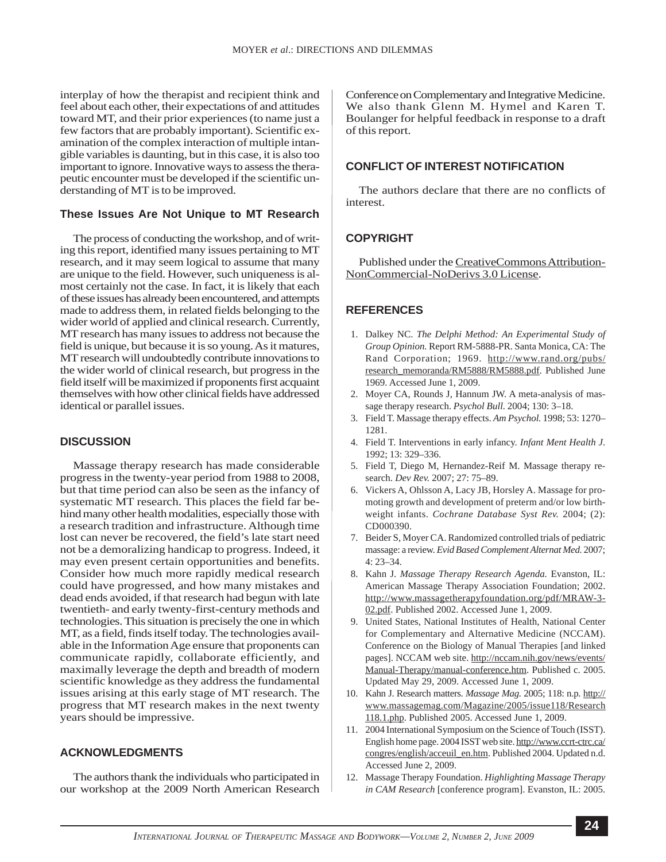interplay of how the therapist and recipient think and feel about each other, their expectations of and attitudes toward MT, and their prior experiences (to name just a few factors that are probably important). Scientific examination of the complex interaction of multiple intangible variables is daunting, but in this case, it is also too important to ignore. Innovative ways to assess the therapeutic encounter must be developed if the scientific understanding of MT is to be improved.

### **These Issues Are Not Unique to MT Research**

The process of conducting the workshop, and of writing this report, identified many issues pertaining to MT research, and it may seem logical to assume that many are unique to the field. However, such uniqueness is almost certainly not the case. In fact, it is likely that each of these issues has already been encountered, and attempts made to address them, in related fields belonging to the wider world of applied and clinical research. Currently, MT research has many issues to address not because the field is unique, but because it is so young. As it matures, MT research will undoubtedly contribute innovations to the wider world of clinical research, but progress in the field itself will be maximized if proponents first acquaint themselves with how other clinical fields have addressed identical or parallel issues.

## **DISCUSSION**

Massage therapy research has made considerable progress in the twenty-year period from 1988 to 2008, but that time period can also be seen as the infancy of systematic MT research. This places the field far behind many other health modalities, especially those with a research tradition and infrastructure. Although time lost can never be recovered, the field's late start need not be a demoralizing handicap to progress. Indeed, it may even present certain opportunities and benefits. Consider how much more rapidly medical research could have progressed, and how many mistakes and dead ends avoided, if that research had begun with late twentieth- and early twenty-first-century methods and technologies. This situation is precisely the one in which MT, as a field, finds itself today. The technologies available in the Information Age ensure that proponents can communicate rapidly, collaborate efficiently, and maximally leverage the depth and breadth of modern scientific knowledge as they address the fundamental issues arising at this early stage of MT research. The progress that MT research makes in the next twenty years should be impressive.

## **ACKNOWLEDGMENTS**

The authors thank the individuals who participated in our workshop at the 2009 North American Research Conference on Complementary and Integrative Medicine. We also thank Glenn M. Hymel and Karen T. Boulanger for helpful feedback in response to a draft of this report.

#### **CONFLICT OF INTEREST NOTIFICATION**

The authors declare that there are no conflicts of interest.

### **COPYRIGHT**

Published under the [CreativeCommons Attribution-](http://www.ijtmb.org/index.php/ijtmb/about/submissions#copyrightNotice)[NonCommercial-NoDerivs 3.0 License](http://www.ijtmb.org/index.php/ijtmb/about/submissions#copyrightNotice).

#### **REFERENCES**

- 1. Dalkey NC. *The Delphi Method: An Experimental Study of Group Opinion.* Report RM-5888-PR. Santa Monica, CA: The Rand Corporation; 1969. [http://www.rand.org/pubs/](http://www.rand.org/pubs/research_memoranda/RM5888/RM5888.pdf) [research\\_memoranda/RM5888/RM5888.pdf.](http://www.rand.org/pubs/research_memoranda/RM5888/RM5888.pdf) Published June 1969. Accessed June 1, 2009.
- 2. Moyer CA, Rounds J, Hannum JW. A meta-analysis of massage therapy research. *Psychol Bull.* 2004; 130: 3–18.
- 3. Field T. Massage therapy effects. *Am Psychol.* 1998; 53: 1270– 1281.
- 4. Field T. Interventions in early infancy. *Infant Ment Health J.* 1992; 13: 329–336.
- 5. Field T, Diego M, Hernandez-Reif M. Massage therapy research. *Dev Rev.* 2007; 27: 75–89.
- 6. Vickers A, Ohlsson A, Lacy JB, Horsley A. Massage for promoting growth and development of preterm and/or low birthweight infants. *Cochrane Database Syst Rev.* 2004; (2): CD000390.
- 7. Beider S, Moyer CA. Randomized controlled trials of pediatric massage: a review. *Evid Based Complement Alternat Med.* 2007; 4: 23–34.
- 8. Kahn J. *Massage Therapy Research Agenda.* Evanston, IL: American Massage Therapy Association Foundation; 2002. [http://www.massagetherapyfoundation.org/pdf/MRAW-3-](http://www.massagetherapyfoundation.org/pdf/MRAW-3-02.pdf) [02.pdf.](http://www.massagetherapyfoundation.org/pdf/MRAW-3-02.pdf) Published 2002. Accessed June 1, 2009.
- 9. United States, National Institutes of Health, National Center for Complementary and Alternative Medicine (NCCAM). Conference on the Biology of Manual Therapies [and linked pages]. NCCAM web site. [http://nccam.nih.gov/news/events/](http://nccam.nih.gov/news/events/Manual-Therapy/manual-conference.htm) [Manual-Therapy/manual-conference.htm](http://nccam.nih.gov/news/events/Manual-Therapy/manual-conference.htm). Published c. 2005. Updated May 29, 2009. Accessed June 1, 2009.
- 10. Kahn J. Research matters. *Massage Mag.* 2005; 118: n.p. http:// [www.massagemag.com/Magazine/2005/issue118/Research](www.massagemag.com/Magazine/2005/issue118/Research118.1.php) [118.1.php.](www.massagemag.com/Magazine/2005/issue118/Research118.1.php) Published 2005. Accessed June 1, 2009.
- 11. 2004 International Symposium on the Science of Touch (ISST). English home page. 2004 ISST web site. [http://www.ccrt-ctrc.ca/](http://www.ccrt-ctrc.ca/congres/english/acceuil_en.htm) [congres/english/acceuil\\_en.htm](http://www.ccrt-ctrc.ca/congres/english/acceuil_en.htm). Published 2004. Updated n.d. Accessed June 2, 2009.
- 12. Massage Therapy Foundation. *Highlighting Massage Therapy in CAM Research* [conference program]. Evanston, IL: 2005.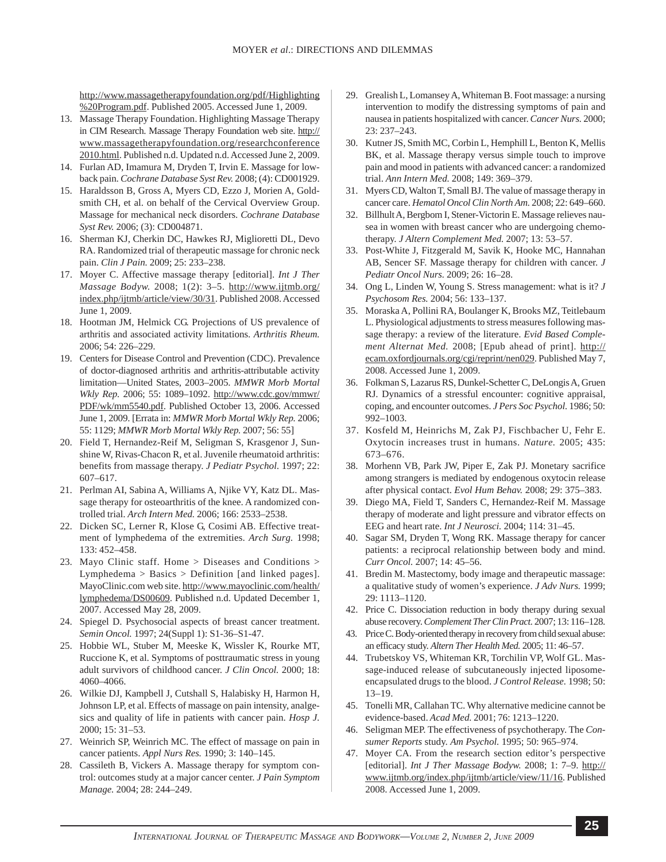[http://www.massagetherapyfoundation.org/pdf/Highlighting](http://www.massagetherapyfoundation.org/pdf/Highlighting %20Program.pdf) [%20Program.pdf.](http://www.massagetherapyfoundation.org/pdf/Highlighting %20Program.pdf) Published 2005. Accessed June 1, 2009.

- 13. Massage Therapy Foundation. Highlighting Massage Therapy in CIM Research. Massage Therapy Foundation web site. [http://](http://www.massagetherapyfoundation.org/researchconference2010.html) [www.massagetherapyfoundation.org/researchconference](http://www.massagetherapyfoundation.org/researchconference2010.html) [2010.html.](http://www.massagetherapyfoundation.org/researchconference2010.html) Published n.d. Updated n.d. Accessed June 2, 2009.
- 14. Furlan AD, Imamura M, Dryden T, Irvin E. Massage for lowback pain. *Cochrane Database Syst Rev.* 2008; (4): CD001929.
- 15. Haraldsson B, Gross A, Myers CD, Ezzo J, Morien A, Goldsmith CH, et al. on behalf of the Cervical Overview Group. Massage for mechanical neck disorders. *Cochrane Database Syst Rev.* 2006; (3): CD004871.
- 16. Sherman KJ, Cherkin DC, Hawkes RJ, Miglioretti DL, Devo RA. Randomized trial of therapeutic massage for chronic neck pain. *Clin J Pain.* 2009; 25: 233–238.
- 17. Moyer C. Affective massage therapy [editorial]. *Int J Ther Massage Bodyw.* 2008; 1(2): 3–5. [http://www.ijtmb.org/](http://www.ijtmb.org/index.php/ijtmb/article/view/30/31) [index.php/ijtmb/article/view/30/31](http://www.ijtmb.org/index.php/ijtmb/article/view/30/31). Published 2008. Accessed June 1, 2009.
- 18. Hootman JM, Helmick CG. Projections of US prevalence of arthritis and associated activity limitations. *Arthritis Rheum.* 2006; 54: 226–229.
- 19. Centers for Disease Control and Prevention (CDC). Prevalence of doctor-diagnosed arthritis and arthritis-attributable activity limitation—United States, 2003–2005. *MMWR Morb Mortal Wkly Rep.* 2006; 55: 1089–1092. [http://www.cdc.gov/mmwr/](http://www.cdc.gov/mmwr/PDF/wk/mm5540.pdf) [PDF/wk/mm5540.pdf.](http://www.cdc.gov/mmwr/PDF/wk/mm5540.pdf) Published October 13, 2006. Accessed June 1, 2009. [Errata in: *MMWR Morb Mortal Wkly Rep.* 2006; 55: 1129; *MMWR Morb Mortal Wkly Rep.* 2007; 56: 55]
- 20. Field T, Hernandez-Reif M, Seligman S, Krasgenor J, Sunshine W, Rivas-Chacon R, et al. Juvenile rheumatoid arthritis: benefits from massage therapy. *J Pediatr Psychol.* 1997; 22: 607–617.
- 21. Perlman AI, Sabina A, Williams A, Njike VY, Katz DL. Massage therapy for osteoarthritis of the knee. A randomized controlled trial. *Arch Intern Med.* 2006; 166: 2533–2538.
- 22. Dicken SC, Lerner R, Klose G, Cosimi AB. Effective treatment of lymphedema of the extremities. *Arch Surg.* 1998; 133: 452–458.
- 23. Mayo Clinic staff. Home > Diseases and Conditions > Lymphedema > Basics > Definition [and linked pages]. MayoClinic.com web site. [http://www.mayoclinic.com/health/](http://www.mayoclinic.com/health/lymphedema/DS00609) [lymphedema/DS00609](http://www.mayoclinic.com/health/lymphedema/DS00609). Published n.d. Updated December 1, 2007. Accessed May 28, 2009.
- 24. Spiegel D. Psychosocial aspects of breast cancer treatment. *Semin Oncol.* 1997; 24(Suppl 1): S1-36–S1-47.
- 25. Hobbie WL, Stuber M, Meeske K, Wissler K, Rourke MT, Ruccione K, et al. Symptoms of posttraumatic stress in young adult survivors of childhood cancer. *J Clin Oncol.* 2000; 18: 4060–4066.
- 26. Wilkie DJ, Kampbell J, Cutshall S, Halabisky H, Harmon H, Johnson LP, et al. Effects of massage on pain intensity, analgesics and quality of life in patients with cancer pain. *Hosp J.* 2000; 15: 31–53.
- 27. Weinrich SP, Weinrich MC. The effect of massage on pain in cancer patients. *Appl Nurs Res.* 1990; 3: 140–145.
- 28. Cassileth B, Vickers A. Massage therapy for symptom control: outcomes study at a major cancer center. *J Pain Symptom Manage.* 2004; 28: 244–249.
- 29. Grealish L, Lomansey A, Whiteman B. Foot massage: a nursing intervention to modify the distressing symptoms of pain and nausea in patients hospitalized with cancer. *Cancer Nurs.* 2000; 23: 237–243.
- 30. Kutner JS, Smith MC, Corbin L, Hemphill L, Benton K, Mellis BK, et al. Massage therapy versus simple touch to improve pain and mood in patients with advanced cancer: a randomized trial. *Ann Intern Med.* 2008; 149: 369–379.
- 31. Myers CD, Walton T, Small BJ. The value of massage therapy in cancer care. *Hematol Oncol Clin North Am.* 2008; 22: 649–660.
- 32. Billhult A, Bergbom I, Stener-Victorin E. Massage relieves nausea in women with breast cancer who are undergoing chemotherapy. *J Altern Complement Med.* 2007; 13: 53–57.
- 33. Post-White J, Fitzgerald M, Savik K, Hooke MC, Hannahan AB, Sencer SF. Massage therapy for children with cancer. *J Pediatr Oncol Nurs.* 2009; 26: 16–28.
- 34. Ong L, Linden W, Young S. Stress management: what is it? *J Psychosom Res.* 2004; 56: 133–137.
- 35. Moraska A, Pollini RA, Boulanger K, Brooks MZ, Teitlebaum L. Physiological adjustments to stress measures following massage therapy: a review of the literature. *Evid Based Complement Alternat Med.* 2008; [Epub ahead of print]. [http://](http://ecam.oxfordjournals.org/cgi/reprint/nen029) [ecam.oxfordjournals.org/cgi/reprint/nen029](http://ecam.oxfordjournals.org/cgi/reprint/nen029). Published May 7, 2008. Accessed June 1, 2009.
- 36. Folkman S, Lazarus RS, Dunkel-Schetter C, DeLongis A, Gruen RJ. Dynamics of a stressful encounter: cognitive appraisal, coping, and encounter outcomes. *J Pers Soc Psychol.* 1986; 50: 992–1003.
- 37. Kosfeld M, Heinrichs M, Zak PJ, Fischbacher U, Fehr E. Oxytocin increases trust in humans. *Nature.* 2005; 435: 673–676.
- 38. Morhenn VB, Park JW, Piper E, Zak PJ. Monetary sacrifice among strangers is mediated by endogenous oxytocin release after physical contact. *Evol Hum Behav.* 2008; 29: 375–383.
- 39. Diego MA, Field T, Sanders C, Hernandez-Reif M. Massage therapy of moderate and light pressure and vibrator effects on EEG and heart rate. *Int J Neurosci.* 2004; 114: 31–45.
- 40. Sagar SM, Dryden T, Wong RK. Massage therapy for cancer patients: a reciprocal relationship between body and mind. *Curr Oncol.* 2007; 14: 45–56.
- 41. Bredin M. Mastectomy, body image and therapeutic massage: a qualitative study of women's experience. *J Adv Nurs.* 1999; 29: 1113–1120.
- 42. Price C. Dissociation reduction in body therapy during sexual abuse recovery. *Complement Ther Clin Pract.* 2007; 13: 116–128.
- 43. Price C. Body-oriented therapy in recovery from child sexual abuse: an efficacy study. *Altern Ther Health Med.* 2005; 11: 46–57.
- 44. Trubetskoy VS, Whiteman KR, Torchilin VP, Wolf GL. Massage-induced release of subcutaneously injected liposomeencapsulated drugs to the blood. *J Control Release.* 1998; 50: 13–19.
- 45. Tonelli MR, Callahan TC. Why alternative medicine cannot be evidence-based. *Acad Med.* 2001; 76: 1213–1220.
- 46. Seligman MEP. The effectiveness of psychotherapy. The *Consumer Reports* study. *Am Psychol.* 1995; 50: 965–974.
- 47. Moyer CA. From the research section editor's perspective [editorial]. *Int J Ther Massage Bodyw.* 2008; 1: 7–9. [http://](http://www.ijtmb.org/index.php/ijtmb/article/view/11/16) [www.ijtmb.org/index.php/ijtmb/article/view/11/16](http://www.ijtmb.org/index.php/ijtmb/article/view/11/16). Published 2008. Accessed June 1, 2009.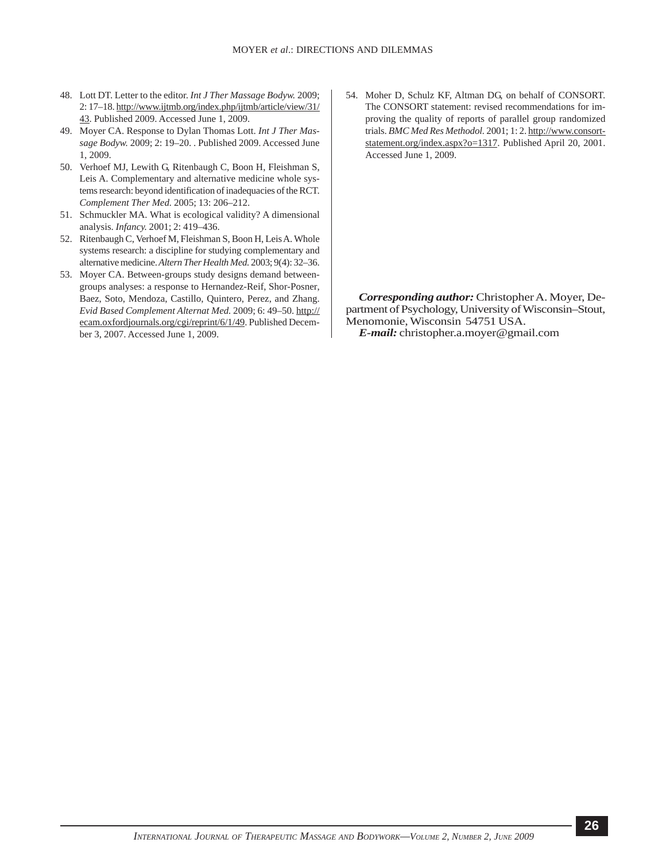- 48. Lott DT. Letter to the editor. *Int J Ther Massage Bodyw.* 2009; 2: 17–18. [http://www.ijtmb.org/index.php/ijtmb/article/view/31/](http://www.ijtmb.org/index.php/ijtmb/article/view/31/43) [43](http://www.ijtmb.org/index.php/ijtmb/article/view/31/43). Published 2009. Accessed June 1, 2009.
- 49. Moyer CA. Response to Dylan Thomas Lott. *Int J Ther Massage Bodyw.* 2009; 2: 19–20. . Published 2009. Accessed June 1, 2009.
- 50. Verhoef MJ, Lewith G, Ritenbaugh C, Boon H, Fleishman S, Leis A. Complementary and alternative medicine whole systems research: beyond identification of inadequacies of the RCT. *Complement Ther Med.* 2005; 13: 206–212.
- 51. Schmuckler MA. What is ecological validity? A dimensional analysis. *Infancy.* 2001; 2: 419–436.
- 52. Ritenbaugh C, Verhoef M, Fleishman S, Boon H, Leis A. Whole systems research: a discipline for studying complementary and alternative medicine. *Altern Ther Health Med.* 2003; 9(4): 32–36.
- 53. Moyer CA. Between-groups study designs demand betweengroups analyses: a response to Hernandez-Reif, Shor-Posner, Baez, Soto, Mendoza, Castillo, Quintero, Perez, and Zhang. *Evid Based Complement Alternat Med.* 2009; 6: 49–50. [http://](http://ecam.oxfordjournals.org/cgi/reprint/6/1/49) [ecam.oxfordjournals.org/cgi/reprint/6/1/49](http://ecam.oxfordjournals.org/cgi/reprint/6/1/49). Published December 3, 2007. Accessed June 1, 2009.

54. Moher D, Schulz KF, Altman DG, on behalf of CONSORT. The CONSORT statement: revised recommendations for improving the quality of reports of parallel group randomized trials. *BMC Med Res Methodol.* 2001; 1: 2[. http://www.consort](http://www.consort-statement.org/index.aspx?o=1317)[statement.org/index.aspx?o=1317](http://www.consort-statement.org/index.aspx?o=1317). Published April 20, 2001. Accessed June 1, 2009.

*Corresponding author:* Christopher A. Moyer, Department of Psychology, University of Wisconsin–Stout, Menomonie, Wisconsin 54751 USA. *E-mail:* christopher.a.moyer@gmail.com